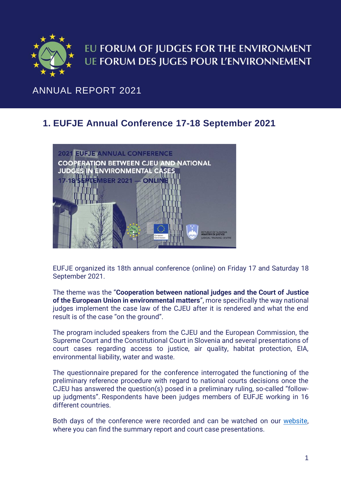

# EU FORUM OF JUDGES FOR THE ENVIRONMENT **UE FORUM DES JUGES POUR L'ENVIRONNEMENT**

# ANNUAL REPORT 2021

# **1. EUFJE Annual Conference 17-18 September 2021**



EUFJE organized its 18th annual conference (online) on Friday 17 and Saturday 18 September 2021.

The theme was the "**Cooperation between national judges and the Court of Justice of the European Union in environmental matters**", more specifically the way national judges implement the case law of the CJEU after it is rendered and what the end result is of the case "on the ground".

The program included speakers from the CJEU and the European Commission, the Supreme Court and the Constitutional Court in Slovenia and several presentations of court cases regarding access to justice, air quality, habitat protection, EIA, environmental liability, water and waste.

The questionnaire prepared for the conference interrogated the functioning of the preliminary reference procedure with regard to national courts decisions once the CJEU has answered the question(s) posed in a preliminary ruling, so-called "followup judgments". Respondents have been judges members of EUFJE working in 16 different countries.

Both days of the conference were recorded and can be watched on our [website,](https://eufje.org/index.php?option=com_content&view=article&id=117&Itemid=319&lang=en) where you can find the summary report and court case presentations.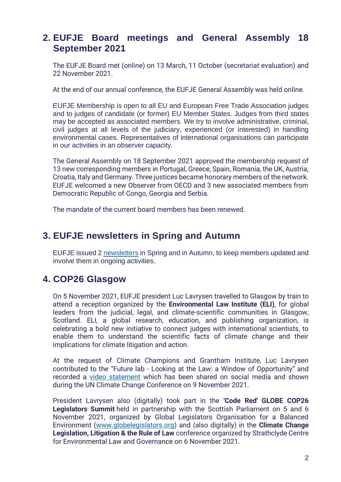### **2. EUFJE Board meetings and General Assembly 18 September 2021**

The EUFJE Board met (online) on 13 March, 11 October (secretariat evaluation) and 22 November 2021.

At the end of our annual conference, the EUFJE General Assembly was held online.

EUFJE Membership is open to all EU and European Free Trade Association judges and to judges of candidate (or former) EU Member States. Judges from third states may be accepted as associated members. We try to involve administrative, criminal, civil judges at all levels of the judiciary, experienced (or interested) in handling environmental cases. Representatives of international organisations can participate in our activities in an observer capacity.

The General Assembly on 18 September 2021 approved the membership request of 13 new corresponding members in Portugal, Greece, Spain, Romania, the UK, Austria, Croatia, Italy and Germany. Three justices became honorary members of the network. EUFJE welcomed a new Observer from OECD and 3 new associated members from Democratic Republic of Congo, Georgia and Serbia.

The mandate of the current board members has been renewed.

#### **3. EUFJE newsletters in Spring and Autumn**

EUFJE issued 2 [newsletters](https://eufje.org/index.php?option=com_content&view=article&id=74&Itemid=267&lang=en) in Spring and in Autumn, to keep members updated and involve them in ongoing activities.

# **4. COP26 Glasgow**

On 5 November 2021, EUFJE president Luc Lavrysen travelled to Glasgow by train to attend a reception organized by the **Environmental Law Institute (ELI)**, for global leaders from the judicial, legal, and climate-scientific communities in Glasgow, Scotland. ELI, a global research, education, and publishing organization, is celebrating a bold new initiative to connect judges with international scientists, to enable them to understand the scientific facts of climate change and their implications for climate litigation and action.

At the request of Climate Champions and Grantham Institute, Luc Lavrysen contributed to the "Future lab - Looking at the Law: a Window of Opportunity" and recorded a [video statement](https://unfccc-cop26.streamworld.de/webcast/futures-lab-looking-at-the-law-window-of-opportuni) which has been shared on social media and shown during the UN Climate Change Conference on 9 November 2021.

President Lavrysen also (digitally) took part in the **'Code Red' GLOBE COP26 Legislators Summit** held in partnership with the Scottish Parliament on 5 and 6 November 2021, organized by Global Legislators Organisation for a Balanced Environment [\(www.globelegislators.org\)](http://www.globelegislators.org/) and (also digitally) in the **Climate Change Legislation, Litigation & the Rule of Law** conference organized by Strathclyde Centre for Environmental Law and Governance on 6 November 2021.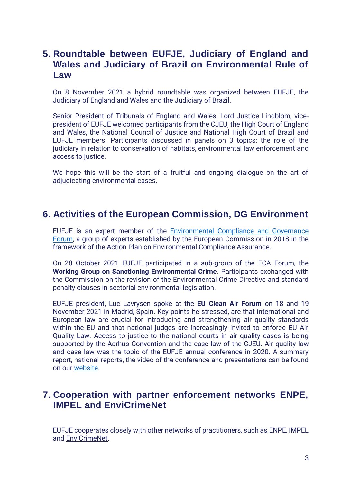#### **5. Roundtable between EUFJE, Judiciary of England and Wales and Judiciary of Brazil on Environmental Rule of Law**

On 8 November 2021 a hybrid roundtable was organized between EUFJE, the Judiciary of England and Wales and the Judiciary of Brazil.

Senior President of Tribunals of England and Wales, Lord Justice Lindblom, vicepresident of EUFJE welcomed participants from the CJEU, the High Court of England and Wales, the National Council of Justice and National High Court of Brazil and EUFJE members. Participants discussed in panels on 3 topics: the role of the judiciary in relation to conservation of habitats, environmental law enforcement and access to justice.

We hope this will be the start of a fruitful and ongoing dialogue on the art of adjudicating environmental cases.

#### **6. Activities of the European Commission, DG Environment**

EUFJE is an expert member of the [Environmental Compliance and Governance](https://ec.europa.eu/environment/legal/compliance_en.htm)  [Forum,](https://ec.europa.eu/environment/legal/compliance_en.htm) a group of experts established by the European Commission in 2018 in the framework of the Action Plan on Environmental Compliance Assurance.

On 28 October 2021 EUFJE participated in a sub-group of the ECA Forum, the **Working Group on Sanctioning Environmental Crime**. Participants exchanged with the Commission on the revision of the Environmental Crime Directive and standard penalty clauses in sectorial environmental legislation.

EUFJE president, Luc Lavrysen spoke at the **EU Clean Air Forum** on 18 and 19 November 2021 in Madrid, Spain. Key points he stressed, are that international and European law are crucial for introducing and strengthening air quality standards within the EU and that national judges are increasingly invited to enforce EU Air Quality Law. Access to justice to the national courts in air quality cases is being supported by the Aarhus Convention and the case-law of the CJEU. Air quality law and case law was the topic of the EUFJE annual conference in 2020. A summary report, national reports, the video of the conference and presentations can be found on our [website.](https://eufje.org/index.php?option=com_content&view=article&id=45&Itemid=235&lang=en)

#### **7. Cooperation with partner enforcement networks ENPE, IMPEL and EnviCrimeNet**

EUFJE cooperates closely with other networks of practitioners, such as ENPE, IMPEL and [EnviCrimeNet.](http://www.envicrimenet.eu/)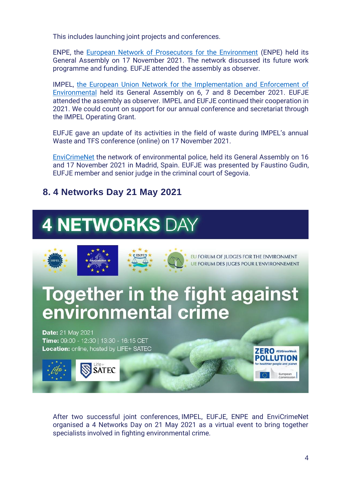This includes launching joint projects and conferences.

ENPE, the [European Network of Prosecutors for the Environment](https://www.environmentalprosecutors.eu/) (ENPE) held its General Assembly on 17 November 2021. The network discussed its future work programme and funding. EUFJE attended the assembly as observer.

IMPEL, [the European Union Network for the Implementation and Enforcement of](https://www.impel.eu/)  [Environmental](https://www.impel.eu/) held its General Assembly on 6, 7 and 8 December 2021. EUFJE attended the assembly as observer. IMPEL and EUFJE continued their cooperation in 2021. We could count on support for our annual conference and secretariat through the IMPEL Operating Grant.

EUFJE gave an update of its activities in the field of waste during IMPEL's annual Waste and TFS conference (online) on 17 November 2021.

[EnviCrimeNet](https://www.envicrimenet.eu/) the network of environmental police, held its General Assembly on 16 and 17 November 2021 in Madrid, Spain. EUFJE was presented by Faustino Gudin, EUFJE member and senior judge in the criminal court of Segovia.

#### **8. 4 Networks Day 21 May 2021**

# **4 NETWORKS DAY**



After two successful joint conferences, IMPEL, EUFJE, ENPE and EnviCrimeNet organised a 4 Networks Day on 21 May 2021 as a virtual event to bring together specialists involved in fighting environmental crime.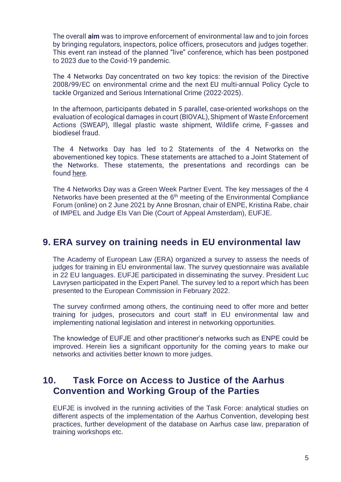The overall **aim** was to improve enforcement of environmental law and to join forces by bringing regulators, inspectors, police officers, prosecutors and judges together. This event ran instead of the planned "live" conference, which has been postponed to 2023 due to the Covid-19 pandemic.

The 4 Networks Day concentrated on two key topics: the revision of the Directive 2008/99/EC on environmental crime and the next EU multi-annual Policy Cycle to tackle Organized and Serious International Crime (2022-2025).

In the afternoon, participants debated in 5 parallel, case-oriented workshops on the evaluation of ecological damages in court (BIOVAL), Shipment of Waste Enforcement Actions (SWEAP), Illegal plastic waste shipment, Wildlife crime, F-gasses and biodiesel fraud.

The 4 Networks Day has led to 2 Statements of the 4 Networks on the abovementioned key topics. These statements are attached to a Joint Statement of the Networks. These statements, the presentations and recordings can be found [here.](https://www.impel.eu/4networks-day-joint-statement-together-in-the-fight-against-environmental-crime/)

The 4 Networks Day was a Green Week Partner Event. The key messages of the 4 Networks have been presented at the 6<sup>th</sup> meeting of the Environmental Compliance Forum (online) on 2 June 2021 by Anne Brosnan, chair of ENPE, Kristina Rabe, chair of IMPEL and Judge Els Van Die (Court of Appeal Amsterdam), EUFJE.

#### **9. ERA survey on training needs in EU environmental law**

The Academy of European Law (ERA) organized a survey to assess the needs of judges for training in EU environmental law. The survey questionnaire was available in 22 EU languages. EUFJE participated in disseminating the survey. President Luc Lavrysen participated in the Expert Panel. The survey led to a report which has been presented to the European Commission in February 2022.

The survey confirmed among others, the continuing need to offer more and better training for judges, prosecutors and court staff in EU environmental law and implementing national legislation and interest in networking opportunities.

The knowledge of EUFJE and other practitioner's networks such as ENPE could be improved. Herein lies a significant opportunity for the coming years to make our networks and activities better known to more judges.

#### **10. Task Force on Access to Justice of the Aarhus Convention and Working Group of the Parties**

EUFJE is involved in the running activities of the Task Force: analytical studies on different aspects of the implementation of the Aarhus Convention, developing best practices, further development of the database on Aarhus case law, preparation of training workshops etc.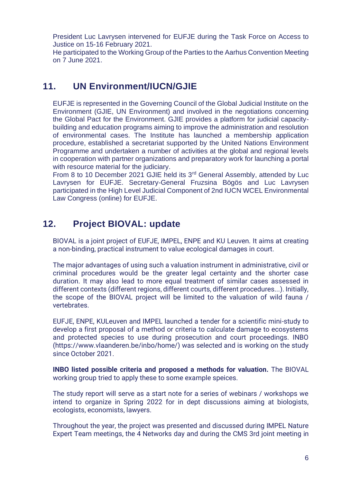President Luc Lavrysen intervened for EUFJE during the Task Force on Access to Justice on 15-16 February 2021.

He participated to the Working Group of the Parties to the Aarhus Convention Meeting on 7 June 2021.

#### **11. UN Environment/IUCN/GJIE**

EUFJE is represented in the Governing Council of the Global Judicial Institute on the Environment (GJIE, UN Environment) and involved in the negotiations concerning the Global Pact for the Environment. GJIE provides a platform for judicial capacitybuilding and education programs aiming to improve the administration and resolution of environmental cases. The Institute has launched a membership application procedure, established a secretariat supported by the United Nations Environment Programme and undertaken a number of activities at the global and regional levels in cooperation with partner organizations and preparatory work for launching a portal with resource material for the judiciary.

From 8 to 10 December 2021 GJIE held its 3rd General Assembly, attended by Luc Lavrysen for EUFJE. Secretary-General Fruzsina Bögös and Luc Lavrysen participated in the High Level Judicial Component of 2nd IUCN WCEL Environmental Law Congress (online) for EUFJE.

# **12. Project BIOVAL: update**

BIOVAL is a joint project of EUFJE, IMPEL, ENPE and KU Leuven. It aims at creating a non-binding, practical instrument to value ecological damages in court.

The major advantages of using such a valuation instrument in administrative, civil or criminal procedures would be the greater legal certainty and the shorter case duration. It may also lead to more equal treatment of similar cases assessed in different contexts (different regions, different courts, different procedures...). Initially, the scope of the BIOVAL project will be limited to the valuation of wild fauna / vertebrates.

EUFJE, ENPE, KULeuven and IMPEL launched a tender for a scientific mini-study to develop a first proposal of a method or criteria to calculate damage to ecosystems and protected species to use during prosecution and court proceedings. INBO [\(https://www.vlaanderen.be/inbo/home/\)](https://www.vlaanderen.be/inbo/home/) was selected and is working on the study since October 2021.

**INBO listed possible criteria and proposed a methods for valuation.** The BIOVAL working group tried to apply these to some example speices.

The study report will serve as a start note for a series of webinars / workshops we intend to organize in Spring 2022 for in dept discussions aiming at biologists, ecologists, economists, lawyers.

Throughout the year, the project was presented and discussed during IMPEL Nature Expert Team meetings, the 4 Networks day and during the CMS 3rd joint meeting in